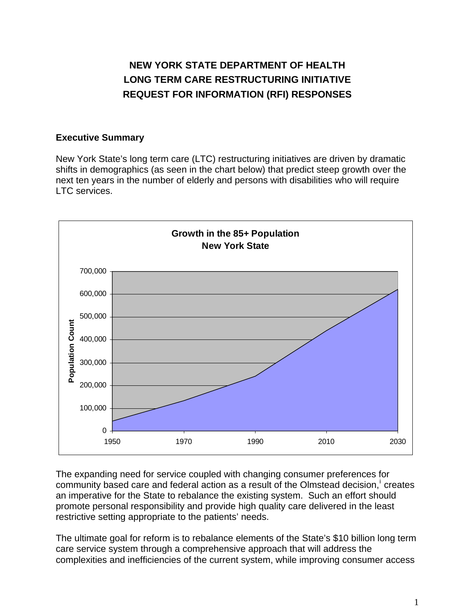# **NEW YORK STATE DEPARTMENT OF HEALTH LONG TERM CARE RESTRUCTURING INITIATIVE REQUEST FOR INFORMATION (RFI) RESPONSES**

# **Executive Summary**

New York State's long term care (LTC) restructuring initiatives are driven by dramatic shifts in demographics (as seen in the chart below) that predict steep growth over the next ten years in the number of elderly and persons with disabilities who will require LTC services.



The expanding need for service coupled with changing consumer preferences for  $commuty$  based care and federal act[i](#page-17-0)on as a result of the Olmstead decision,  $i$  creates an imperative for the State to rebalance the existing system. Such an effort should promote personal responsibility and provide high quality care delivered in the least restrictive setting appropriate to the patients' needs.

The ultimate goal for reform is to rebalance elements of the State's \$10 billion long term care service system through a comprehensive approach that will address the complexities and inefficiencies of the current system, while improving consumer access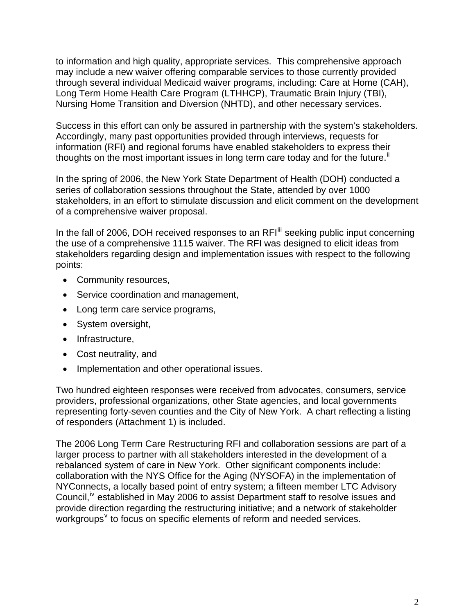to information and high quality, appropriate services. This comprehensive approach may include a new waiver offering comparable services to those currently provided through several individual Medicaid waiver programs, including: Care at Home (CAH), Long Term Home Health Care Program (LTHHCP), Traumatic Brain Injury (TBI), Nursing Home Transition and Diversion (NHTD), and other necessary services.

Success in this effort can only be assured in partnership with the system's stakeholders. Accordingly, many past opportunities provided through interviews, requests for information (RFI) and regional forums have enabled stakeholders to express their thoughts on the most important issues in long term care today and for the future.<sup>[ii](#page-17-1)</sup>

In the spring of 2006, the New York State Department of Health (DOH) conducted a series of collaboration sessions throughout the State, attended by over 1000 stakeholders, in an effort to stimulate discussion and elicit comment on the development of a comprehensive waiver proposal.

In the fall of 2006, DOH received responses to an RFI<sup>[iii](#page-17-1)</sup> seeking public input concerning the use of a comprehensive 1115 waiver. The RFI was designed to elicit ideas from stakeholders regarding design and implementation issues with respect to the following points:

- Community resources,
- Service coordination and management,
- Long term care service programs,
- System oversight,
- Infrastructure,
- Cost neutrality, and
- Implementation and other operational issues.

Two hundred eighteen responses were received from advocates, consumers, service providers, professional organizations, other State agencies, and local governments representing forty-seven counties and the City of New York. A chart reflecting a listing of responders (Attachment 1) is included.

The 2006 Long Term Care Restructuring RFI and collaboration sessions are part of a larger process to partner with all stakeholders interested in the development of a rebalanced system of care in New York. Other significant components include: collaboration with the NYS Office for the Aging (NYSOFA) in the implementation of NYConnects, a locally based point of entry system; a fifteen member LTC Advisory Council,<sup>[iv](#page-17-1)</sup> established in May 2006 to assist Department staff to resolve issues and provide direction regarding the restructuring initiative; and a network of stakeholder  $\omega$  workgroups<sup> $\vee$  $\vee$  $\vee$ </sup> to focus on specific elements of reform and needed services.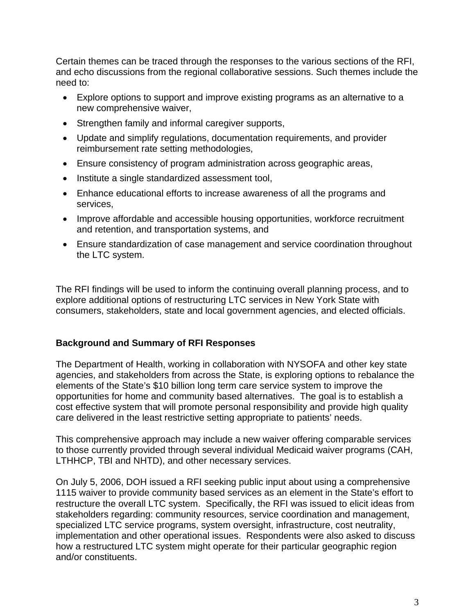Certain themes can be traced through the responses to the various sections of the RFI, and echo discussions from the regional collaborative sessions. Such themes include the need to:

- Explore options to support and improve existing programs as an alternative to a new comprehensive waiver,
- Strengthen family and informal caregiver supports,
- Update and simplify regulations, documentation requirements, and provider reimbursement rate setting methodologies,
- Ensure consistency of program administration across geographic areas,
- Institute a single standardized assessment tool,
- Enhance educational efforts to increase awareness of all the programs and services,
- Improve affordable and accessible housing opportunities, workforce recruitment and retention, and transportation systems, and
- Ensure standardization of case management and service coordination throughout the LTC system.

The RFI findings will be used to inform the continuing overall planning process, and to explore additional options of restructuring LTC services in New York State with consumers, stakeholders, state and local government agencies, and elected officials.

# **Background and Summary of RFI Responses**

The Department of Health, working in collaboration with NYSOFA and other key state agencies, and stakeholders from across the State, is exploring options to rebalance the elements of the State's \$10 billion long term care service system to improve the opportunities for home and community based alternatives. The goal is to establish a cost effective system that will promote personal responsibility and provide high quality care delivered in the least restrictive setting appropriate to patients' needs.

This comprehensive approach may include a new waiver offering comparable services to those currently provided through several individual Medicaid waiver programs (CAH, LTHHCP, TBI and NHTD), and other necessary services.

On July 5, 2006, DOH issued a RFI seeking public input about using a comprehensive 1115 waiver to provide community based services as an element in the State's effort to restructure the overall LTC system. Specifically, the RFI was issued to elicit ideas from stakeholders regarding: community resources, service coordination and management, specialized LTC service programs, system oversight, infrastructure, cost neutrality, implementation and other operational issues. Respondents were also asked to discuss how a restructured LTC system might operate for their particular geographic region and/or constituents.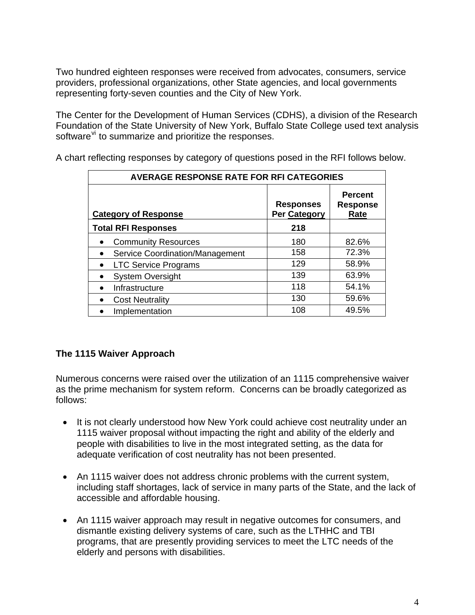Two hundred eighteen responses were received from advocates, consumers, service providers, professional organizations, other State agencies, and local governments representing forty-seven counties and the City of New York.

The Center for the Development of Human Services (CDHS), a division of the Research Foundation of the State University of New York, Buffalo State College used text analysis software<sup>[vi](#page-17-1)</sup> to summarize and prioritize the responses.

| <b>AVERAGE RESPONSE RATE FOR RFI CATEGORIES</b> |                                  |                                           |
|-------------------------------------------------|----------------------------------|-------------------------------------------|
| <b>Category of Response</b>                     | <b>Responses</b><br>Per Category | <b>Percent</b><br><b>Response</b><br>Rate |
| <b>Total RFI Responses</b>                      | 218                              |                                           |
| <b>Community Resources</b>                      | 180                              | 82.6%                                     |
| Service Coordination/Management                 | 158                              | 72.3%                                     |
| <b>LTC Service Programs</b>                     | 129                              | 58.9%                                     |
| <b>System Oversight</b>                         | 139                              | 63.9%                                     |
| Infrastructure                                  | 118                              | 54.1%                                     |
| <b>Cost Neutrality</b><br>$\bullet$             | 130                              | 59.6%                                     |
| Implementation                                  | 108                              | 49.5%                                     |

A chart reflecting responses by category of questions posed in the RFI follows below.

# **The 1115 Waiver Approach**

Numerous concerns were raised over the utilization of an 1115 comprehensive waiver as the prime mechanism for system reform. Concerns can be broadly categorized as follows:

- It is not clearly understood how New York could achieve cost neutrality under an 1115 waiver proposal without impacting the right and ability of the elderly and people with disabilities to live in the most integrated setting, as the data for adequate verification of cost neutrality has not been presented.
- An 1115 waiver does not address chronic problems with the current system, including staff shortages, lack of service in many parts of the State, and the lack of accessible and affordable housing.
- An 1115 waiver approach may result in negative outcomes for consumers, and dismantle existing delivery systems of care, such as the LTHHC and TBI programs, that are presently providing services to meet the LTC needs of the elderly and persons with disabilities.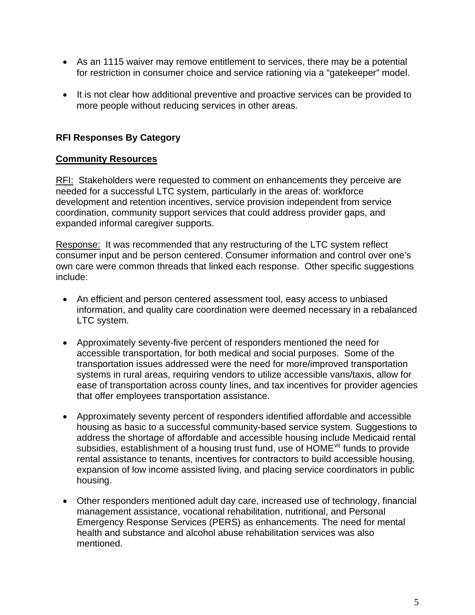- As an 1115 waiver may remove entitlement to services, there may be a potential for restriction in consumer choice and service rationing via a "gatekeeper" model.
- It is not clear how additional preventive and proactive services can be provided to more people without reducing services in other areas.

# **RFI Responses By Category**

# **Community Resources**

RFI: Stakeholders were requested to comment on enhancements they perceive are needed for a successful LTC system, particularly in the areas of: workforce development and retention incentives, service provision independent from service coordination, community support services that could address provider gaps, and expanded informal caregiver supports.

Response: It was recommended that any restructuring of the LTC system reflect consumer input and be person centered. Consumer information and control over one's own care were common threads that linked each response. Other specific suggestions include:

- An efficient and person centered assessment tool, easy access to unbiased information, and quality care coordination were deemed necessary in a rebalanced LTC system.
- Approximately seventy-five percent of responders mentioned the need for accessible transportation, for both medical and social purposes. Some of the transportation issues addressed were the need for more/improved transportation systems in rural areas, requiring vendors to utilize accessible vans/taxis, allow for ease of transportation across county lines, and tax incentives for provider agencies that offer employees transportation assistance.
- Approximately seventy percent of responders identified affordable and accessible housing as basic to a successful community-based service system. Suggestions to address the shortage of affordable and accessible housing include Medicaid rental subsidies, establishment of a housing trust fund, use of HOME<sup>[vii](#page-17-1)</sup> funds to provide rental assistance to tenants, incentives for contractors to build accessible housing, expansion of low income assisted living, and placing service coordinators in public housing.
- Other responders mentioned adult day care, increased use of technology, financial management assistance, vocational rehabilitation, nutritional, and Personal Emergency Response Services (PERS) as enhancements. The need for mental health and substance and alcohol abuse rehabilitation services was also mentioned.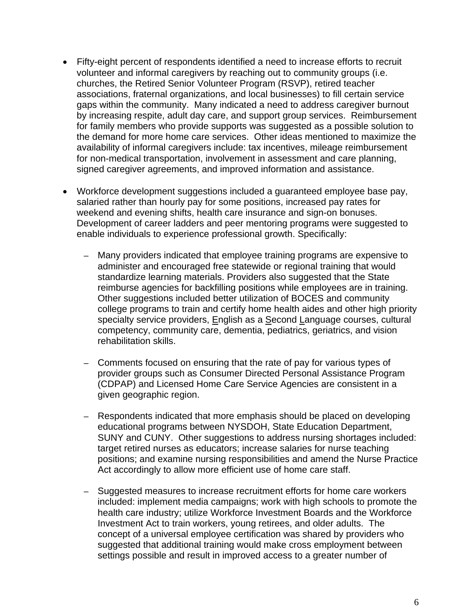- Fifty-eight percent of respondents identified a need to increase efforts to recruit volunteer and informal caregivers by reaching out to community groups (i.e. churches, the Retired Senior Volunteer Program (RSVP), retired teacher associations, fraternal organizations, and local businesses) to fill certain service gaps within the community. Many indicated a need to address caregiver burnout by increasing respite, adult day care, and support group services. Reimbursement for family members who provide supports was suggested as a possible solution to the demand for more home care services. Other ideas mentioned to maximize the availability of informal caregivers include: tax incentives, mileage reimbursement for non-medical transportation, involvement in assessment and care planning, signed caregiver agreements, and improved information and assistance.
- Workforce development suggestions included a guaranteed employee base pay, salaried rather than hourly pay for some positions, increased pay rates for weekend and evening shifts, health care insurance and sign-on bonuses. Development of career ladders and peer mentoring programs were suggested to enable individuals to experience professional growth. Specifically:
	- Many providers indicated that employee training programs are expensive to administer and encouraged free statewide or regional training that would standardize learning materials. Providers also suggested that the State reimburse agencies for backfilling positions while employees are in training. Other suggestions included better utilization of BOCES and community college programs to train and certify home health aides and other high priority specialty service providers, English as a Second Language courses, cultural competency, community care, dementia, pediatrics, geriatrics, and vision rehabilitation skills.
	- Comments focused on ensuring that the rate of pay for various types of provider groups such as Consumer Directed Personal Assistance Program (CDPAP) and Licensed Home Care Service Agencies are consistent in a given geographic region.
	- Respondents indicated that more emphasis should be placed on developing educational programs between NYSDOH, State Education Department, SUNY and CUNY. Other suggestions to address nursing shortages included: target retired nurses as educators; increase salaries for nurse teaching positions; and examine nursing responsibilities and amend the Nurse Practice Act accordingly to allow more efficient use of home care staff.
	- Suggested measures to increase recruitment efforts for home care workers included: implement media campaigns; work with high schools to promote the health care industry; utilize Workforce Investment Boards and the Workforce Investment Act to train workers, young retirees, and older adults. The concept of a universal employee certification was shared by providers who suggested that additional training would make cross employment between settings possible and result in improved access to a greater number of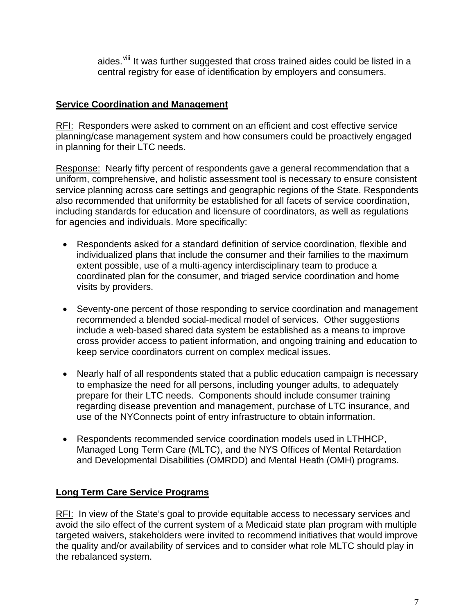aides.<sup>viii</sup> It was further suggested that cross trained aides could be listed in a central registry for ease of identification by employers and consumers.

# **Service Coordination and Management**

RFI: Responders were asked to comment on an efficient and cost effective service planning/case management system and how consumers could be proactively engaged in planning for their LTC needs.

Response: Nearly fifty percent of respondents gave a general recommendation that a uniform, comprehensive, and holistic assessment tool is necessary to ensure consistent service planning across care settings and geographic regions of the State. Respondents also recommended that uniformity be established for all facets of service coordination, including standards for education and licensure of coordinators, as well as regulations for agencies and individuals. More specifically:

- Respondents asked for a standard definition of service coordination, flexible and individualized plans that include the consumer and their families to the maximum extent possible, use of a multi-agency interdisciplinary team to produce a coordinated plan for the consumer, and triaged service coordination and home visits by providers.
- Seventy-one percent of those responding to service coordination and management recommended a blended social-medical model of services. Other suggestions include a web-based shared data system be established as a means to improve cross provider access to patient information, and ongoing training and education to keep service coordinators current on complex medical issues.
- Nearly half of all respondents stated that a public education campaign is necessary to emphasize the need for all persons, including younger adults, to adequately prepare for their LTC needs. Components should include consumer training regarding disease prevention and management, purchase of LTC insurance, and use of the NYConnects point of entry infrastructure to obtain information.
- Respondents recommended service coordination models used in LTHHCP, Managed Long Term Care (MLTC), and the NYS Offices of Mental Retardation and Developmental Disabilities (OMRDD) and Mental Heath (OMH) programs.

# **Long Term Care Service Programs**

RFI: In view of the State's goal to provide equitable access to necessary services and avoid the silo effect of the current system of a Medicaid state plan program with multiple targeted waivers, stakeholders were invited to recommend initiatives that would improve the quality and/or availability of services and to consider what role MLTC should play in the rebalanced system.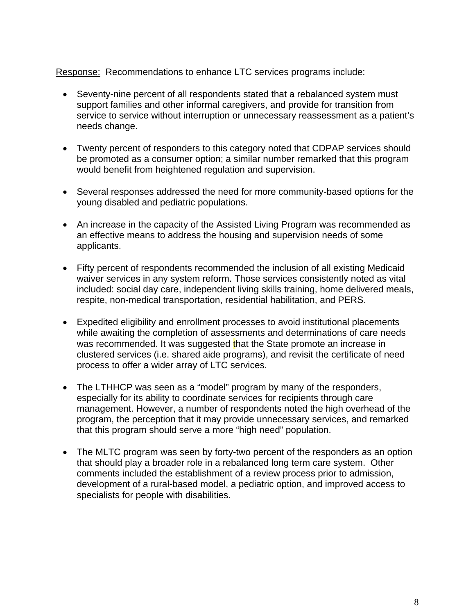#### Response: Recommendations to enhance LTC services programs include:

- Seventy-nine percent of all respondents stated that a rebalanced system must support families and other informal caregivers, and provide for transition from service to service without interruption or unnecessary reassessment as a patient's needs change.
- Twenty percent of responders to this category noted that CDPAP services should be promoted as a consumer option; a similar number remarked that this program would benefit from heightened regulation and supervision.
- Several responses addressed the need for more community-based options for the young disabled and pediatric populations.
- An increase in the capacity of the Assisted Living Program was recommended as an effective means to address the housing and supervision needs of some applicants.
- Fifty percent of respondents recommended the inclusion of all existing Medicaid waiver services in any system reform. Those services consistently noted as vital included: social day care, independent living skills training, home delivered meals, respite, non-medical transportation, residential habilitation, and PERS.
- Expedited eligibility and enrollment processes to avoid institutional placements while awaiting the completion of assessments and determinations of care needs was recommended. It was suggested that the State promote an increase in clustered services (i.e. shared aide programs), and revisit the certificate of need process to offer a wider array of LTC services.
- The LTHHCP was seen as a "model" program by many of the responders, especially for its ability to coordinate services for recipients through care management. However, a number of respondents noted the high overhead of the program, the perception that it may provide unnecessary services, and remarked that this program should serve a more "high need" population.
- The MLTC program was seen by forty-two percent of the responders as an option that should play a broader role in a rebalanced long term care system. Other comments included the establishment of a review process prior to admission, development of a rural-based model, a pediatric option, and improved access to specialists for people with disabilities.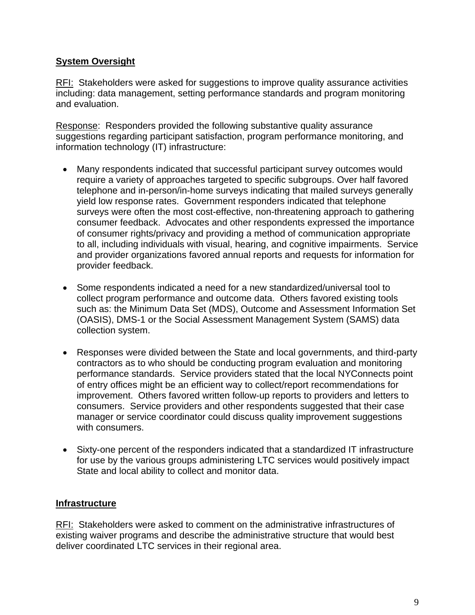# **System Oversight**

RFI: Stakeholders were asked for suggestions to improve quality assurance activities including: data management, setting performance standards and program monitoring and evaluation.

Response: Responders provided the following substantive quality assurance suggestions regarding participant satisfaction, program performance monitoring, and information technology (IT) infrastructure:

- Many respondents indicated that successful participant survey outcomes would require a variety of approaches targeted to specific subgroups. Over half favored telephone and in-person/in-home surveys indicating that mailed surveys generally yield low response rates. Government responders indicated that telephone surveys were often the most cost-effective, non-threatening approach to gathering consumer feedback. Advocates and other respondents expressed the importance of consumer rights/privacy and providing a method of communication appropriate to all, including individuals with visual, hearing, and cognitive impairments. Service and provider organizations favored annual reports and requests for information for provider feedback.
- Some respondents indicated a need for a new standardized/universal tool to collect program performance and outcome data. Others favored existing tools such as: the Minimum Data Set (MDS), Outcome and Assessment Information Set (OASIS), DMS-1 or the Social Assessment Management System (SAMS) data collection system.
- Responses were divided between the State and local governments, and third-party contractors as to who should be conducting program evaluation and monitoring performance standards. Service providers stated that the local NYConnects point of entry offices might be an efficient way to collect/report recommendations for improvement. Others favored written follow-up reports to providers and letters to consumers. Service providers and other respondents suggested that their case manager or service coordinator could discuss quality improvement suggestions with consumers.
- Sixty-one percent of the responders indicated that a standardized IT infrastructure for use by the various groups administering LTC services would positively impact State and local ability to collect and monitor data.

# **Infrastructure**

RFI: Stakeholders were asked to comment on the administrative infrastructures of existing waiver programs and describe the administrative structure that would best deliver coordinated LTC services in their regional area.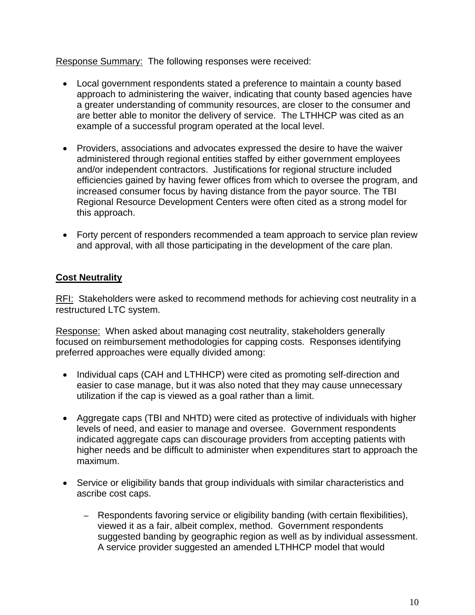Response Summary: The following responses were received:

- Local government respondents stated a preference to maintain a county based approach to administering the waiver, indicating that county based agencies have a greater understanding of community resources, are closer to the consumer and are better able to monitor the delivery of service. The LTHHCP was cited as an example of a successful program operated at the local level.
- Providers, associations and advocates expressed the desire to have the waiver administered through regional entities staffed by either government employees and/or independent contractors. Justifications for regional structure included efficiencies gained by having fewer offices from which to oversee the program, and increased consumer focus by having distance from the payor source. The TBI Regional Resource Development Centers were often cited as a strong model for this approach.
- Forty percent of responders recommended a team approach to service plan review and approval, with all those participating in the development of the care plan.

# **Cost Neutrality**

RFI: Stakeholders were asked to recommend methods for achieving cost neutrality in a restructured LTC system.

Response: When asked about managing cost neutrality, stakeholders generally focused on reimbursement methodologies for capping costs. Responses identifying preferred approaches were equally divided among:

- Individual caps (CAH and LTHHCP) were cited as promoting self-direction and easier to case manage, but it was also noted that they may cause unnecessary utilization if the cap is viewed as a goal rather than a limit.
- Aggregate caps (TBI and NHTD) were cited as protective of individuals with higher levels of need, and easier to manage and oversee. Government respondents indicated aggregate caps can discourage providers from accepting patients with higher needs and be difficult to administer when expenditures start to approach the maximum.
- Service or eligibility bands that group individuals with similar characteristics and ascribe cost caps.
	- Respondents favoring service or eligibility banding (with certain flexibilities), viewed it as a fair, albeit complex, method. Government respondents suggested banding by geographic region as well as by individual assessment. A service provider suggested an amended LTHHCP model that would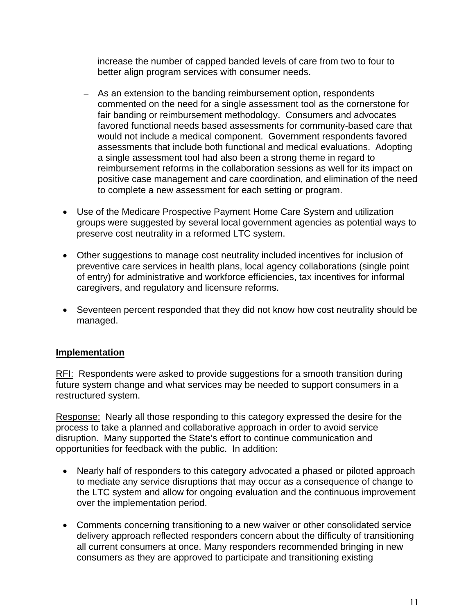increase the number of capped banded levels of care from two to four to better align program services with consumer needs.

- As an extension to the banding reimbursement option, respondents commented on the need for a single assessment tool as the cornerstone for fair banding or reimbursement methodology. Consumers and advocates favored functional needs based assessments for community-based care that would not include a medical component. Government respondents favored assessments that include both functional and medical evaluations. Adopting a single assessment tool had also been a strong theme in regard to reimbursement reforms in the collaboration sessions as well for its impact on positive case management and care coordination, and elimination of the need to complete a new assessment for each setting or program.
- Use of the Medicare Prospective Payment Home Care System and utilization groups were suggested by several local government agencies as potential ways to preserve cost neutrality in a reformed LTC system.
- Other suggestions to manage cost neutrality included incentives for inclusion of preventive care services in health plans, local agency collaborations (single point of entry) for administrative and workforce efficiencies, tax incentives for informal caregivers, and regulatory and licensure reforms.
- Seventeen percent responded that they did not know how cost neutrality should be managed.

#### **Implementation**

RFI: Respondents were asked to provide suggestions for a smooth transition during future system change and what services may be needed to support consumers in a restructured system.

Response: Nearly all those responding to this category expressed the desire for the process to take a planned and collaborative approach in order to avoid service disruption. Many supported the State's effort to continue communication and opportunities for feedback with the public. In addition:

- Nearly half of responders to this category advocated a phased or piloted approach to mediate any service disruptions that may occur as a consequence of change to the LTC system and allow for ongoing evaluation and the continuous improvement over the implementation period.
- Comments concerning transitioning to a new waiver or other consolidated service delivery approach reflected responders concern about the difficulty of transitioning all current consumers at once. Many responders recommended bringing in new consumers as they are approved to participate and transitioning existing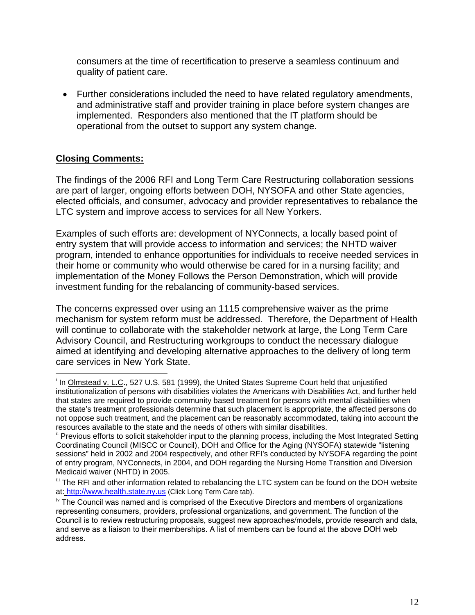consumers at the time of recertification to preserve a seamless continuum and quality of patient care.

• Further considerations included the need to have related regulatory amendments, and administrative staff and provider training in place before system changes are implemented. Responders also mentioned that the IT platform should be operational from the outset to support any system change.

# **Closing Comments:**

 $\overline{a}$ 

The findings of the 2006 RFI and Long Term Care Restructuring collaboration sessions are part of larger, ongoing efforts between DOH, NYSOFA and other State agencies, elected officials, and consumer, advocacy and provider representatives to rebalance the LTC system and improve access to services for all New Yorkers.

Examples of such efforts are: development of NYConnects, a locally based point of entry system that will provide access to information and services; the NHTD waiver program, intended to enhance opportunities for individuals to receive needed services in their home or community who would otherwise be cared for in a nursing facility; and implementation of the Money Follows the Person Demonstration, which will provide investment funding for the rebalancing of community-based services.

The concerns expressed over using an 1115 comprehensive waiver as the prime mechanism for system reform must be addressed. Therefore, the Department of Health will continue to collaborate with the stakeholder network at large, the Long Term Care Advisory Council, and Restructuring workgroups to conduct the necessary dialogue aimed at identifying and developing alternative approaches to the delivery of long term care services in New York State.

<sup>&</sup>lt;sup>i</sup> In Olmstead v. L.C., 527 U.S. 581 (1999), the United States Supreme Court held that unjustified institutionalization of persons with disabilities violates the Americans with Disabilities Act, and further held that states are required to provide community based treatment for persons with mental disabilities when the state's treatment professionals determine that such placement is appropriate, the affected persons do not oppose such treatment, and the placement can be reasonably accommodated, taking into account the resources available to the state and the needs of others with similar disabilities.

<sup>&</sup>lt;sup>ii</sup> Previous efforts to solicit stakeholder input to the planning process, including the Most Integrated Setting Coordinating Council (MISCC or Council), DOH and Office for the Aging (NYSOFA) statewide "listening sessions" held in 2002 and 2004 respectively, and other RFI's conducted by NYSOFA regarding the point of entry program, NYConnects, in 2004, and DOH regarding the Nursing Home Transition and Diversion Medicaid waiver (NHTD) in 2005.

iii The RFI and other information related to rebalancing the LTC system can be found on the DOH website at: [http://www.health.state.ny.us](http://www.health.state.ny.us/) (Click Long Term Care tab).

iv The Council was named and is comprised of the Executive Directors and members of organizations representing consumers, providers, professional organizations, and government. The function of the Council is to review restructuring proposals, suggest new approaches/models, provide research and data, and serve as a liaison to their memberships. A list of members can be found at the above DOH web address.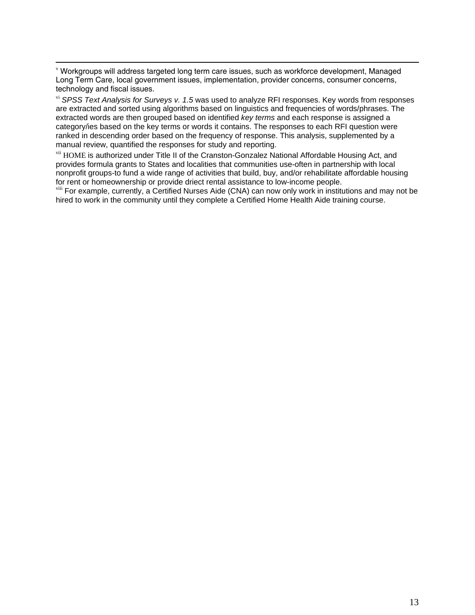v Workgroups will address targeted long term care issues, such as workforce development, Managed Long Term Care, local government issues, implementation, provider concerns, consumer concerns, technology and fiscal issues.

vi *SPSS Text Analysis for Surveys v. 1.5* was used to analyze RFI responses. Key words from responses are extracted and sorted using algorithms based on linguistics and frequencies of words/phrases. The extracted words are then grouped based on identified *key terms* and each response is assigned a category/ies based on the key terms or words it contains. The responses to each RFI question were ranked in descending order based on the frequency of response. This analysis, supplemented by a manual review, quantified the responses for study and reporting.

vii HOME is authorized under Title II of the Cranston-Gonzalez National Affordable Housing Act, and provides formula grants to States and localities that communities use-often in partnership with local nonprofit groups-to fund a wide range of activities that build, buy, and/or rehabilitate affordable housing for rent or homeownership or provide driect rental assistance to low-income people.

<sup>viii</sup> For example, currently, a Certified Nurses Aide (CNA) can now only work in institutions and may not be hired to work in the community until they complete a Certified Home Health Aide training course.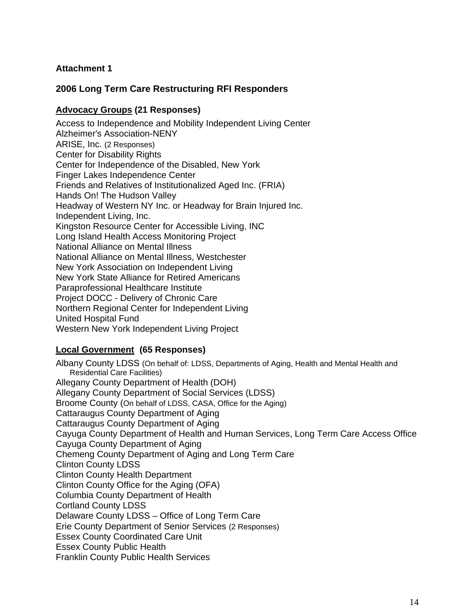#### **Attachment 1**

### **2006 Long Term Care Restructuring RFI Responders**

#### **Advocacy Groups (21 Responses)**

Access to Independence and Mobility Independent Living Center Alzheimer's Association-NENY ARISE, Inc. (2 Responses) Center for Disability Rights Center for Independence of the Disabled, New York Finger Lakes Independence Center Friends and Relatives of Institutionalized Aged Inc. (FRIA) Hands On! The Hudson Valley Headway of Western NY Inc. or Headway for Brain Injured Inc. Independent Living, Inc. Kingston Resource Center for Accessible Living, INC Long Island Health Access Monitoring Project National Alliance on Mental Illness National Alliance on Mental Illness, Westchester New York Association on Independent Living New York State Alliance for Retired Americans Paraprofessional Healthcare Institute Project DOCC - Delivery of Chronic Care Northern Regional Center for Independent Living United Hospital Fund Western New York Independent Living Project

#### **Local Government (65 Responses)**

Albany County LDSS (On behalf of: LDSS, Departments of Aging, Health and Mental Health and Residential Care Facilities) Allegany County Department of Health (DOH) Allegany County Department of Social Services (LDSS) Broome County (On behalf of LDSS, CASA, Office for the Aging) Cattaraugus County Department of Aging Cattaraugus County Department of Aging Cayuga County Department of Health and Human Services, Long Term Care Access Office Cayuga County Department of Aging Chemeng County Department of Aging and Long Term Care Clinton County LDSS Clinton County Health Department Clinton County Office for the Aging (OFA) Columbia County Department of Health Cortland County LDSS Delaware County LDSS – Office of Long Term Care Erie County Department of Senior Services (2 Responses) Essex County Coordinated Care Unit Essex County Public Health Franklin County Public Health Services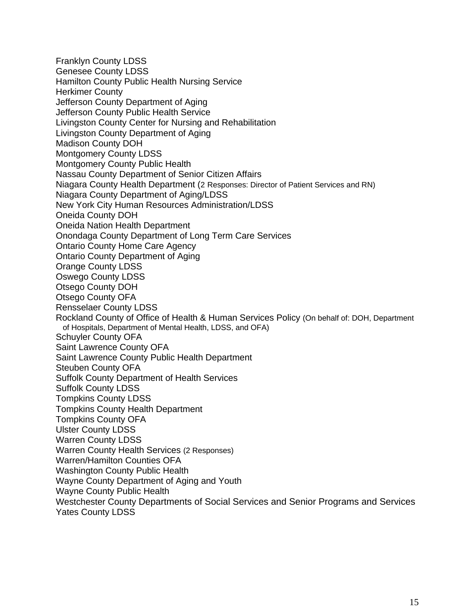Franklyn County LDSS Genesee County LDSS Hamilton County Public Health Nursing Service Herkimer County Jefferson County Department of Aging Jefferson County Public Health Service Livingston County Center for Nursing and Rehabilitation Livingston County Department of Aging Madison County DOH Montgomery County LDSS Montgomery County Public Health Nassau County Department of Senior Citizen Affairs Niagara County Health Department (2 Responses: Director of Patient Services and RN) Niagara County Department of Aging/LDSS New York City Human Resources Administration/LDSS Oneida County DOH Oneida Nation Health Department Onondaga County Department of Long Term Care Services Ontario County Home Care Agency Ontario County Department of Aging Orange County LDSS Oswego County LDSS Otsego County DOH Otsego County OFA Rensselaer County LDSS Rockland County of Office of Health & Human Services Policy (On behalf of: DOH, Department of Hospitals, Department of Mental Health, LDSS, and OFA) Schuyler County OFA Saint Lawrence County OFA Saint Lawrence County Public Health Department Steuben County OFA Suffolk County Department of Health Services Suffolk County LDSS Tompkins County LDSS Tompkins County Health Department Tompkins County OFA Ulster County LDSS Warren County LDSS Warren County Health Services (2 Responses) Warren/Hamilton Counties OFA Washington County Public Health Wayne County Department of Aging and Youth Wayne County Public Health Westchester County Departments of Social Services and Senior Programs and Services Yates County LDSS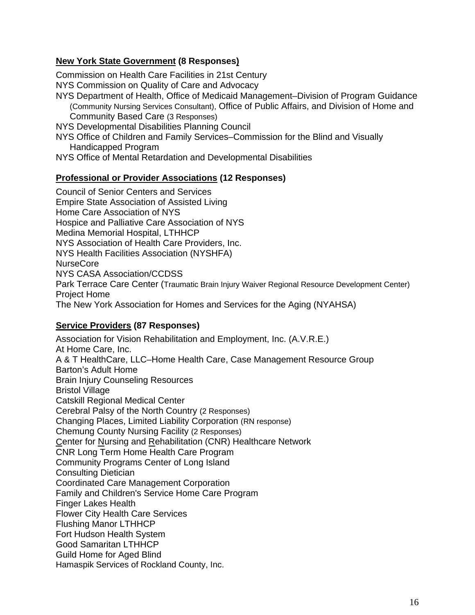#### **New York State Government (8 Responses)**

Commission on Health Care Facilities in 21st Century

NYS Commission on Quality of Care and Advocacy

NYS Department of Health, Office of Medicaid Management–Division of Program Guidance (Community Nursing Services Consultant), Office of Public Affairs, and Division of Home and Community Based Care (3 Responses)

NYS Developmental Disabilities Planning Council

NYS Office of Children and Family Services–Commission for the Blind and Visually Handicapped Program

NYS Office of Mental Retardation and Developmental Disabilities

#### **Professional or Provider Associations (12 Responses)**

Council of Senior Centers and Services Empire State Association of Assisted Living Home Care Association of NYS Hospice and Palliative Care Association of NYS Medina Memorial Hospital, LTHHCP NYS Association of Health Care Providers, Inc. NYS Health Facilities Association (NYSHFA) NurseCore NYS CASA Association/CCDSS Park Terrace Care Center (Traumatic Brain Injury Waiver Regional Resource Development Center) Project Home The New York Association for Homes and Services for the Aging (NYAHSA)

#### **Service Providers (87 Responses)**

Association for Vision Rehabilitation and Employment, Inc. (A.V.R.E.) At Home Care, Inc. A & T HealthCare, LLC–Home Health Care, Case Management Resource Group Barton's Adult Home Brain Injury Counseling Resources Bristol Village Catskill Regional Medical Center Cerebral Palsy of the North Country (2 Responses) Changing Places, Limited Liability Corporation (RN response) Chemung County Nursing Facility (2 Responses) Center for Nursing and Rehabilitation (CNR) Healthcare Network CNR Long Term Home Health Care Program Community Programs Center of Long Island Consulting Dietician Coordinated Care Management Corporation Family and Children's Service Home Care Program Finger Lakes Health Flower City Health Care Services Flushing Manor LTHHCP Fort Hudson Health System Good Samaritan LTHHCP Guild Home for Aged Blind Hamaspik Services of Rockland County, Inc.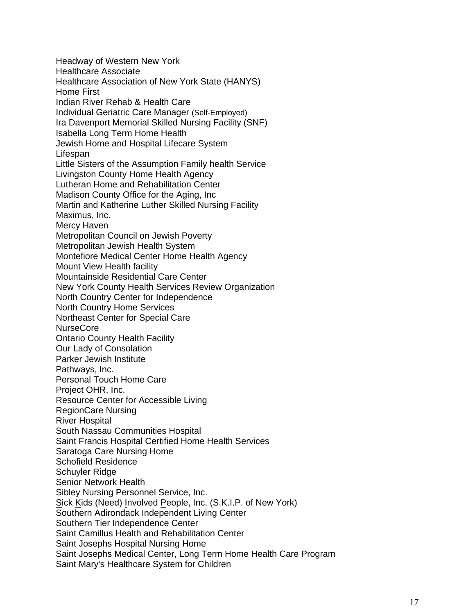Headway of Western New York Healthcare Associate Healthcare Association of New York State (HANYS) Home First Indian River Rehab & Health Care Individual Geriatric Care Manager (Self-Employed) Ira Davenport Memorial Skilled Nursing Facility (SNF) Isabella Long Term Home Health Jewish Home and Hospital Lifecare System Lifespan Little Sisters of the Assumption Family health Service Livingston County Home Health Agency Lutheran Home and Rehabilitation Center Madison County Office for the Aging, Inc Martin and Katherine Luther Skilled Nursing Facility Maximus, Inc. Mercy Haven Metropolitan Council on Jewish Poverty Metropolitan Jewish Health System Montefiore Medical Center Home Health Agency Mount View Health facility Mountainside Residential Care Center New York County Health Services Review Organization North Country Center for Independence North Country Home Services Northeast Center for Special Care NurseCore Ontario County Health Facility Our Lady of Consolation Parker Jewish Institute Pathways, Inc. Personal Touch Home Care Project OHR, Inc. Resource Center for Accessible Living RegionCare Nursing River Hospital South Nassau Communities Hospital Saint Francis Hospital Certified Home Health Services Saratoga Care Nursing Home Schofield Residence Schuyler Ridge Senior Network Health Sibley Nursing Personnel Service, Inc. Sick Kids (Need) Involved People, Inc. (S.K.I.P. of New York) Southern Adirondack Independent Living Center Southern Tier Independence Center Saint Camillus Health and Rehabilitation Center Saint Josephs Hospital Nursing Home Saint Josephs Medical Center, Long Term Home Health Care Program Saint Mary's Healthcare System for Children